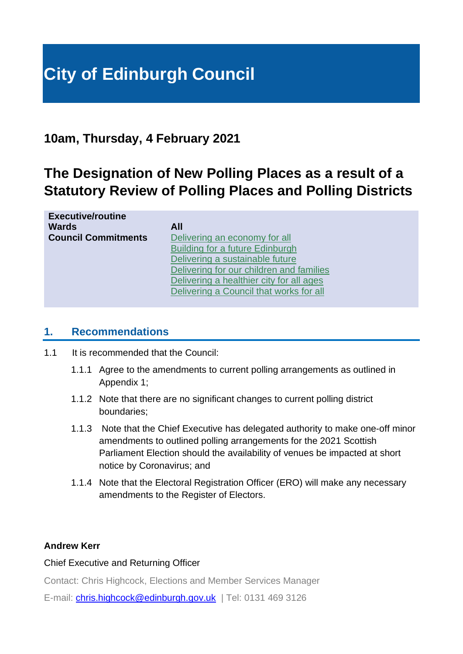# **City of Edinburgh Council**

### **10am, Thursday, 4 February 2021**

# **The Designation of New Polling Places as a result of a Statutory Review of Polling Places and Polling Districts**

| Delivering for our children and families |
|------------------------------------------|
| Delivering a healthier city for all ages |
| Delivering a Council that works for all  |
|                                          |

### **1. Recommendations**

- 1.1 It is recommended that the Council:
	- 1.1.1 Agree to the amendments to current polling arrangements as outlined in Appendix 1;
	- 1.1.2 Note that there are no significant changes to current polling district boundaries;
	- 1.1.3 Note that the Chief Executive has delegated authority to make one-off minor amendments to outlined polling arrangements for the 2021 Scottish Parliament Election should the availability of venues be impacted at short notice by Coronavirus; and
	- 1.1.4 Note that the Electoral Registration Officer (ERO) will make any necessary amendments to the Register of Electors.

### **Andrew Kerr**

### Chief Executive and Returning Officer

Contact: Chris Highcock, Elections and Member Services Manager

E-mail: *[chris.highcock@edinburgh.gov.uk](mailto:chris.highcock@edinburgh.gov.uk)* | Tel: 0131 469 3126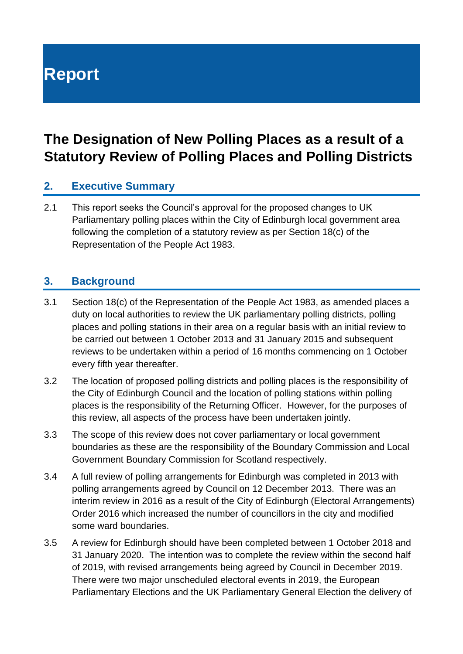**Report**

# **The Designation of New Polling Places as a result of a Statutory Review of Polling Places and Polling Districts**

### **2. Executive Summary**

2.1 This report seeks the Council's approval for the proposed changes to UK Parliamentary polling places within the City of Edinburgh local government area following the completion of a statutory review as per Section 18(c) of the Representation of the People Act 1983.

### **3. Background**

- 3.1 Section 18(c) of the Representation of the People Act 1983, as amended places a duty on local authorities to review the UK parliamentary polling districts, polling places and polling stations in their area on a regular basis with an initial review to be carried out between 1 October 2013 and 31 January 2015 and subsequent reviews to be undertaken within a period of 16 months commencing on 1 October every fifth year thereafter.
- 3.2 The location of proposed polling districts and polling places is the responsibility of the City of Edinburgh Council and the location of polling stations within polling places is the responsibility of the Returning Officer. However, for the purposes of this review, all aspects of the process have been undertaken jointly.
- 3.3 The scope of this review does not cover parliamentary or local government boundaries as these are the responsibility of the Boundary Commission and Local Government Boundary Commission for Scotland respectively.
- 3.4 A full review of polling arrangements for Edinburgh was completed in 2013 with polling arrangements agreed by Council on 12 December 2013. There was an interim review in 2016 as a result of the City of Edinburgh (Electoral Arrangements) Order 2016 which increased the number of councillors in the city and modified some ward boundaries.
- 3.5 A review for Edinburgh should have been completed between 1 October 2018 and 31 January 2020. The intention was to complete the review within the second half of 2019, with revised arrangements being agreed by Council in December 2019. There were two major unscheduled electoral events in 2019, the European Parliamentary Elections and the UK Parliamentary General Election the delivery of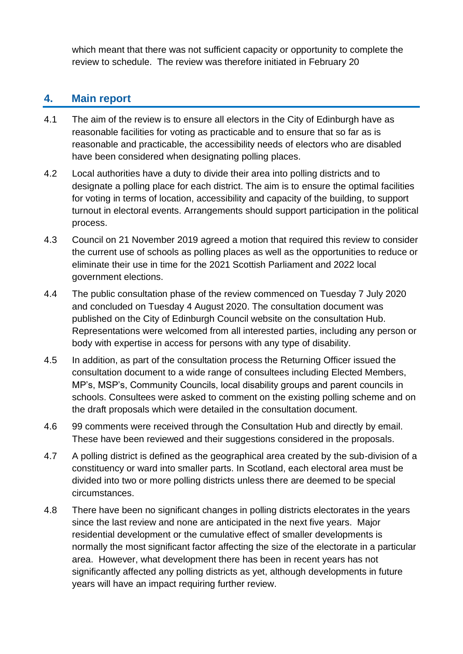which meant that there was not sufficient capacity or opportunity to complete the review to schedule. The review was therefore initiated in February 20

### **4. Main report**

- 4.1 The aim of the review is to ensure all electors in the City of Edinburgh have as reasonable facilities for voting as practicable and to ensure that so far as is reasonable and practicable, the accessibility needs of electors who are disabled have been considered when designating polling places.
- 4.2 Local authorities have a duty to divide their area into polling districts and to designate a polling place for each district. The aim is to ensure the optimal facilities for voting in terms of location, accessibility and capacity of the building, to support turnout in electoral events. Arrangements should support participation in the political process.
- 4.3 Council on 21 November 2019 agreed a motion that required this review to consider the current use of schools as polling places as well as the opportunities to reduce or eliminate their use in time for the 2021 Scottish Parliament and 2022 local government elections.
- 4.4 The public consultation phase of the review commenced on Tuesday 7 July 2020 and concluded on Tuesday 4 August 2020. The consultation document was published on the City of Edinburgh Council website on the consultation Hub. Representations were welcomed from all interested parties, including any person or body with expertise in access for persons with any type of disability.
- 4.5 In addition, as part of the consultation process the Returning Officer issued the consultation document to a wide range of consultees including Elected Members, MP's, MSP's, Community Councils, local disability groups and parent councils in schools. Consultees were asked to comment on the existing polling scheme and on the draft proposals which were detailed in the consultation document.
- 4.6 99 comments were received through the Consultation Hub and directly by email. These have been reviewed and their suggestions considered in the proposals.
- 4.7 A polling district is defined as the geographical area created by the sub-division of a constituency or ward into smaller parts. In Scotland, each electoral area must be divided into two or more polling districts unless there are deemed to be special circumstances.
- 4.8 There have been no significant changes in polling districts electorates in the years since the last review and none are anticipated in the next five years. Major residential development or the cumulative effect of smaller developments is normally the most significant factor affecting the size of the electorate in a particular area. However, what development there has been in recent years has not significantly affected any polling districts as yet, although developments in future years will have an impact requiring further review.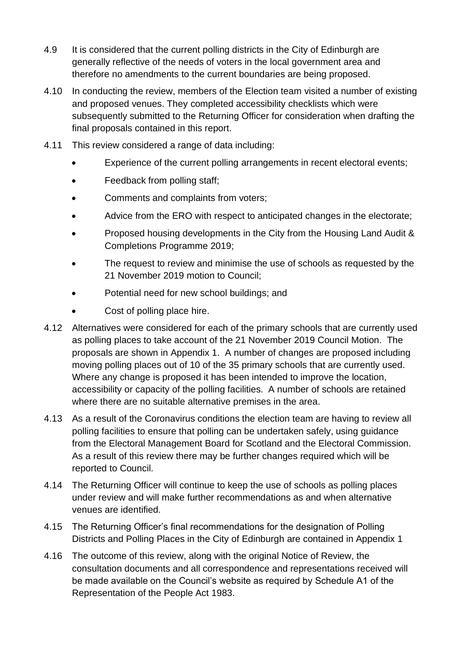- 4.9 It is considered that the current polling districts in the City of Edinburgh are generally reflective of the needs of voters in the local government area and therefore no amendments to the current boundaries are being proposed.
- 4.10 In conducting the review, members of the Election team visited a number of existing and proposed venues. They completed accessibility checklists which were subsequently submitted to the Returning Officer for consideration when drafting the final proposals contained in this report.
- 4.11 This review considered a range of data including:
	- Experience of the current polling arrangements in recent electoral events;
	- Feedback from polling staff;
	- Comments and complaints from voters;
	- Advice from the ERO with respect to anticipated changes in the electorate;
	- Proposed housing developments in the City from the Housing Land Audit & Completions Programme 2019;
	- The request to review and minimise the use of schools as requested by the 21 November 2019 motion to Council;
	- Potential need for new school buildings; and
	- Cost of polling place hire.
- 4.12 Alternatives were considered for each of the primary schools that are currently used as polling places to take account of the 21 November 2019 Council Motion. The proposals are shown in Appendix 1. A number of changes are proposed including moving polling places out of 10 of the 35 primary schools that are currently used. Where any change is proposed it has been intended to improve the location, accessibility or capacity of the polling facilities. A number of schools are retained where there are no suitable alternative premises in the area.
- 4.13 As a result of the Coronavirus conditions the election team are having to review all polling facilities to ensure that polling can be undertaken safely, using guidance from the Electoral Management Board for Scotland and the Electoral Commission. As a result of this review there may be further changes required which will be reported to Council.
- 4.14 The Returning Officer will continue to keep the use of schools as polling places under review and will make further recommendations as and when alternative venues are identified.
- 4.15 The Returning Officer's final recommendations for the designation of Polling Districts and Polling Places in the City of Edinburgh are contained in Appendix 1
- 4.16 The outcome of this review, along with the original Notice of Review, the consultation documents and all correspondence and representations received will be made available on the Council's website as required by Schedule A1 of the Representation of the People Act 1983.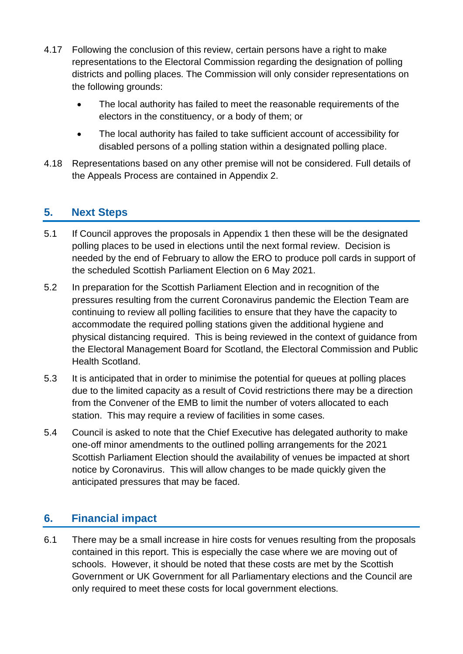- 4.17 Following the conclusion of this review, certain persons have a right to make representations to the Electoral Commission regarding the designation of polling districts and polling places. The Commission will only consider representations on the following grounds:
	- The local authority has failed to meet the reasonable requirements of the electors in the constituency, or a body of them; or
	- The local authority has failed to take sufficient account of accessibility for disabled persons of a polling station within a designated polling place.
- 4.18 Representations based on any other premise will not be considered. Full details of the Appeals Process are contained in Appendix 2.

### **5. Next Steps**

- 5.1 If Council approves the proposals in Appendix 1 then these will be the designated polling places to be used in elections until the next formal review. Decision is needed by the end of February to allow the ERO to produce poll cards in support of the scheduled Scottish Parliament Election on 6 May 2021.
- 5.2 In preparation for the Scottish Parliament Election and in recognition of the pressures resulting from the current Coronavirus pandemic the Election Team are continuing to review all polling facilities to ensure that they have the capacity to accommodate the required polling stations given the additional hygiene and physical distancing required. This is being reviewed in the context of guidance from the Electoral Management Board for Scotland, the Electoral Commission and Public Health Scotland.
- 5.3 It is anticipated that in order to minimise the potential for queues at polling places due to the limited capacity as a result of Covid restrictions there may be a direction from the Convener of the EMB to limit the number of voters allocated to each station. This may require a review of facilities in some cases.
- 5.4 Council is asked to note that the Chief Executive has delegated authority to make one-off minor amendments to the outlined polling arrangements for the 2021 Scottish Parliament Election should the availability of venues be impacted at short notice by Coronavirus. This will allow changes to be made quickly given the anticipated pressures that may be faced.

### **6. Financial impact**

6.1 There may be a small increase in hire costs for venues resulting from the proposals contained in this report. This is especially the case where we are moving out of schools. However, it should be noted that these costs are met by the Scottish Government or UK Government for all Parliamentary elections and the Council are only required to meet these costs for local government elections.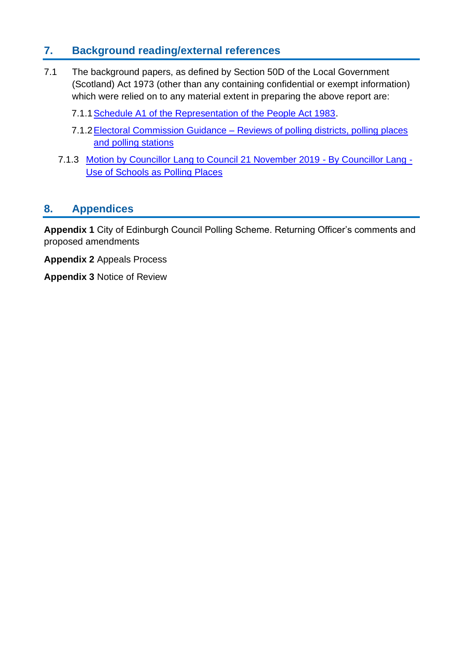### **7. Background reading/external references**

- 7.1 The background papers, as defined by Section 50D of the Local Government (Scotland) Act 1973 (other than any containing confidential or exempt information) which were relied on to any material extent in preparing the above report are:
	- 7.1.[1Schedule A1 of the Representation of the People Act 1983.](https://www.legislation.gov.uk/ukpga/1983/2/schedule/A1)
	- 7.1.2 Electoral Commission Guidance Reviews of polling districts, polling places [and polling stations](https://www.electoralcommission.org.uk/i-am-a/electoral-administrator/polling-place-reviews)
	- 7.1.3 [Motion by Councillor Lang to Council 21 November 2019 -](https://democracy.edinburgh.gov.uk/ieListDocuments.aspx?CId=150&MID=410#AI9083) By Councillor Lang [Use of Schools as Polling Places](https://democracy.edinburgh.gov.uk/ieListDocuments.aspx?CId=150&MID=410#AI9083)

### **8. Appendices**

**Appendix 1** City of Edinburgh Council Polling Scheme. Returning Officer's comments and proposed amendments

**Appendix 2** Appeals Process

**Appendix 3** Notice of Review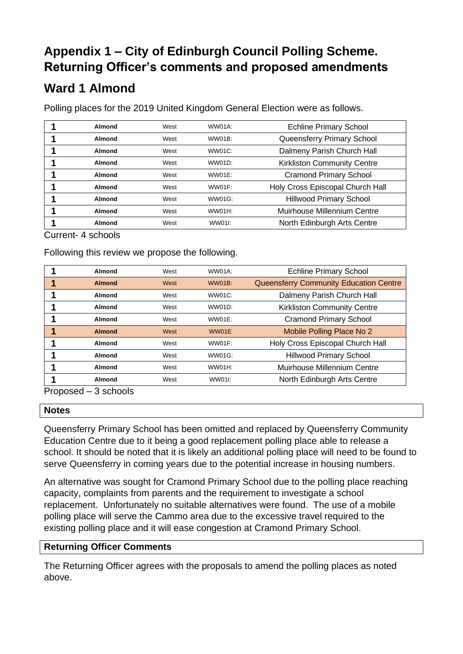### **Appendix 1 – City of Edinburgh Council Polling Scheme. Returning Officer's comments and proposed amendments**

### **Ward 1 Almond**

Polling places for the 2019 United Kingdom General Election were as follows.

| Almond | West | WW01A: | <b>Echline Primary School</b>      |
|--------|------|--------|------------------------------------|
| Almond | West | WW01B: | Queensferry Primary School         |
| Almond | West | WW01C: | Dalmeny Parish Church Hall         |
| Almond | West | WW01D: | <b>Kirkliston Community Centre</b> |
| Almond | West | WW01E: | <b>Cramond Primary School</b>      |
| Almond | West | WW01F: | Holy Cross Episcopal Church Hall   |
| Almond | West | WW01G: | <b>Hillwood Primary School</b>     |
| Almond | West | WW01H: | Muirhouse Millennium Centre        |
| Almond | West | WW011: | North Edinburgh Arts Centre        |

### Current- 4 schools

Following this review we propose the following.

|     | Almond                                           | West | WW01A:        | <b>Echline Primary School</b>          |
|-----|--------------------------------------------------|------|---------------|----------------------------------------|
|     | <b>Almond</b>                                    | West | <b>WW01B:</b> | Queensferry Community Education Centre |
|     | Almond                                           | West | <b>WW01C:</b> | Dalmeny Parish Church Hall             |
|     | Almond                                           | West | WW01D:        | <b>Kirkliston Community Centre</b>     |
|     | Almond                                           | West | WW01E:        | <b>Cramond Primary School</b>          |
|     | <b>Almond</b>                                    | West | WW01E         | Mobile Polling Place No 2              |
|     | Almond                                           | West | WW01F:        | Holy Cross Episcopal Church Hall       |
|     | Almond                                           | West | WW01G:        | <b>Hillwood Primary School</b>         |
|     | Almond                                           | West | <b>WW01H:</b> | Muirhouse Millennium Centre            |
|     | Almond                                           | West | WW011:        | North Edinburgh Arts Centre            |
| n., | $\sim$ $\sim$ $\sim$ $\sim$ $\sim$ $\sim$ $\sim$ |      |               |                                        |

Proposed – 3 schools

#### **Notes**

Queensferry Primary School has been omitted and replaced by Queensferry Community Education Centre due to it being a good replacement polling place able to release a school. It should be noted that it is likely an additional polling place will need to be found to serve Queensferry in coming years due to the potential increase in housing numbers.

An alternative was sought for Cramond Primary School due to the polling place reaching capacity, complaints from parents and the requirement to investigate a school replacement. Unfortunately no suitable alternatives were found. The use of a mobile polling place will serve the Cammo area due to the excessive travel required to the existing polling place and it will ease congestion at Cramond Primary School.

### **Returning Officer Comments**

The Returning Officer agrees with the proposals to amend the polling places as noted above.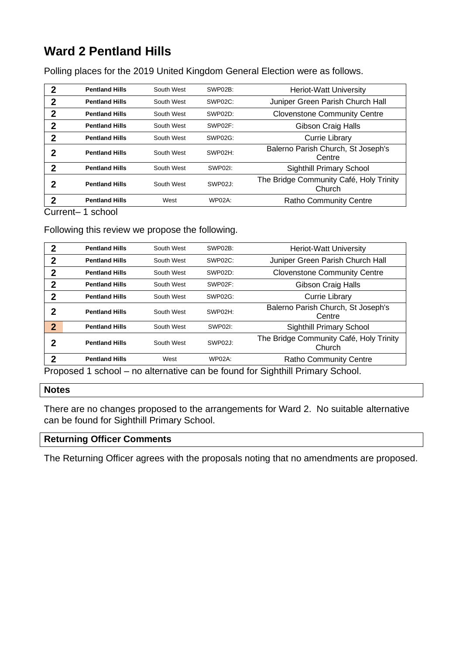# **Ward 2 Pentland Hills**

Polling places for the 2019 United Kingdom General Election were as follows.

| 2 | <b>Pentland Hills</b> | South West | SWP02B:       | <b>Heriot-Watt University</b>                     |
|---|-----------------------|------------|---------------|---------------------------------------------------|
| 2 | <b>Pentland Hills</b> | South West | SWP02C:       | Juniper Green Parish Church Hall                  |
| 2 | <b>Pentland Hills</b> | South West | SWP02D:       | <b>Clovenstone Community Centre</b>               |
| 2 | <b>Pentland Hills</b> | South West | SWP02F:       | Gibson Craig Halls                                |
| 2 | <b>Pentland Hills</b> | South West | SWP02G:       | Currie Library                                    |
| 2 | <b>Pentland Hills</b> | South West | SWP02H:       | Balerno Parish Church, St Joseph's<br>Centre      |
| 2 | <b>Pentland Hills</b> | South West | SWP02I:       | <b>Sighthill Primary School</b>                   |
| 2 | <b>Pentland Hills</b> | South West | SWP02J:       | The Bridge Community Café, Holy Trinity<br>Church |
| 2 | <b>Pentland Hills</b> | West       | <b>WP02A:</b> | <b>Ratho Community Centre</b>                     |

Current– 1 school

#### Following this review we propose the following.

| 2              | <b>Pentland Hills</b>                                                        | South West | SWP02B: | <b>Heriot-Watt University</b>                     |  |  |
|----------------|------------------------------------------------------------------------------|------------|---------|---------------------------------------------------|--|--|
| $\mathbf 2$    | <b>Pentland Hills</b>                                                        | South West | SWP02C: | Juniper Green Parish Church Hall                  |  |  |
| $\mathbf{2}$   | <b>Pentland Hills</b>                                                        | South West | SWP02D: | <b>Clovenstone Community Centre</b>               |  |  |
| $\mathbf{2}$   | <b>Pentland Hills</b>                                                        | South West | SWP02F: | Gibson Craig Halls                                |  |  |
| $\mathbf{2}$   | <b>Pentland Hills</b>                                                        | South West | SWP02G: | <b>Currie Library</b>                             |  |  |
| 2              | <b>Pentland Hills</b>                                                        | South West | SWP02H: | Balerno Parish Church, St Joseph's<br>Centre      |  |  |
| $\overline{2}$ | <b>Pentland Hills</b>                                                        | South West | SWP02I: | <b>Sighthill Primary School</b>                   |  |  |
| 2              | <b>Pentland Hills</b>                                                        | South West | SWP02J: | The Bridge Community Café, Holy Trinity<br>Church |  |  |
| $\mathbf 2$    | <b>Pentland Hills</b>                                                        | West       | WP02A:  | <b>Ratho Community Centre</b>                     |  |  |
|                | Proposed 1 school - no alternative can be found for Sighthill Primary School |            |         |                                                   |  |  |

1 school – no alternative can be found for Sighthill Primary School.

#### **Notes**

There are no changes proposed to the arrangements for Ward 2. No suitable alternative can be found for Sighthill Primary School.

### **Returning Officer Comments**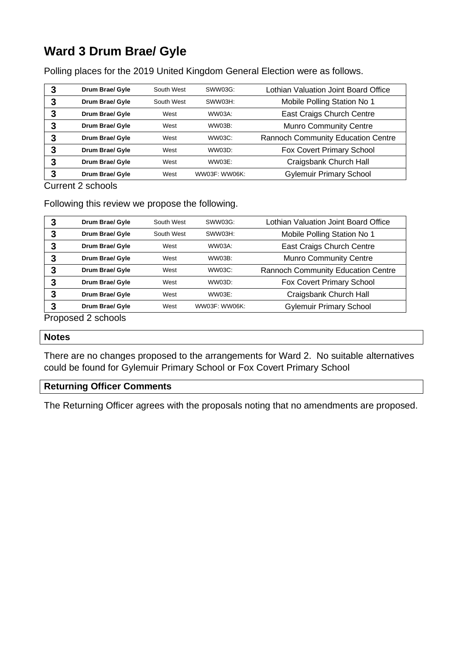# **Ward 3 Drum Brae/ Gyle**

Polling places for the 2019 United Kingdom General Election were as follows.

| 3 | Drum Brae/ Gyle | South West | SWW03G:       | Lothian Valuation Joint Board Office      |
|---|-----------------|------------|---------------|-------------------------------------------|
| 3 | Drum Brae/ Gyle | South West | SWW03H:       | Mobile Polling Station No 1               |
| 3 | Drum Brae/ Gyle | West       | WW03A:        | East Craigs Church Centre                 |
| 3 | Drum Brae/ Gyle | West       | WW03B:        | <b>Munro Community Centre</b>             |
| 3 | Drum Brae/ Gyle | West       | WW03C:        | <b>Rannoch Community Education Centre</b> |
| 3 | Drum Brae/ Gyle | West       | WW03D:        | Fox Covert Primary School                 |
| 3 | Drum Brae/ Gyle | West       | WW03E:        | Craigsbank Church Hall                    |
| 3 | Drum Brae/ Gyle | West       | WW03F: WW06K: | <b>Gylemuir Primary School</b>            |

Current 2 schools

Following this review we propose the following.

| 3 | Drum Brae/ Gyle | South West | SWW03G:       | Lothian Valuation Joint Board Office      |
|---|-----------------|------------|---------------|-------------------------------------------|
| 3 | Drum Brae/ Gyle | South West | SWW03H:       | Mobile Polling Station No 1               |
| 3 | Drum Brae/ Gyle | West       | WW03A:        | East Craigs Church Centre                 |
| 3 | Drum Brae/ Gyle | West       | WW03B:        | <b>Munro Community Centre</b>             |
| 3 | Drum Brae/ Gyle | West       | WW03C:        | <b>Rannoch Community Education Centre</b> |
| 3 | Drum Brae/ Gyle | West       | WW03D:        | Fox Covert Primary School                 |
| 3 | Drum Brae/ Gyle | West       | WW03E:        | Craigsbank Church Hall                    |
| 3 | Drum Brae/ Gyle | West       | WW03F: WW06K: | <b>Gylemuir Primary School</b>            |

Proposed 2 schools

#### **Notes**

There are no changes proposed to the arrangements for Ward 2. No suitable alternatives could be found for Gylemuir Primary School or Fox Covert Primary School

### **Returning Officer Comments**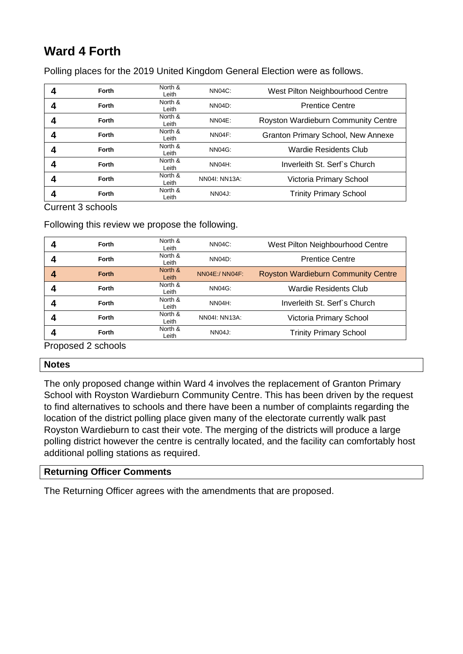# **Ward 4 Forth**

Polling places for the 2019 United Kingdom General Election were as follows.

| Forth        | North &<br>Leith | NN04C:              | West Pilton Neighbourhood Centre          |
|--------------|------------------|---------------------|-------------------------------------------|
| <b>Forth</b> | North &<br>Leith | NN <sub>04</sub> D: | <b>Prentice Centre</b>                    |
| <b>Forth</b> | North &<br>Leith | NN04E:              | Royston Wardieburn Community Centre       |
| <b>Forth</b> | North &<br>Leith | NN04F:              | <b>Granton Primary School, New Annexe</b> |
| <b>Forth</b> | North &<br>Leith | <b>NN04G:</b>       | Wardie Residents Club                     |
| Forth        | North &<br>Leith | NN04H:              | Inverleith St. Serf's Church              |
| Forth        | North &<br>Leith | NN04I: NN13A:       | Victoria Primary School                   |
| Forth        | North &<br>Leith | NN04J:              | <b>Trinity Primary School</b>             |

Current 3 schools

Following this review we propose the following.

| Forth        | North &<br>Leith | NN04C:         | West Pilton Neighbourhood Centre           |
|--------------|------------------|----------------|--------------------------------------------|
| <b>Forth</b> | North &<br>Leith | NN04D:         | <b>Prentice Centre</b>                     |
| <b>Forth</b> | North &<br>Leith | NN04E:/ NN04F: | <b>Royston Wardieburn Community Centre</b> |
| Forth        | North &<br>Leith | <b>NN04G:</b>  | <b>Wardie Residents Club</b>               |
| Forth        | North &<br>Leith | NN04H:         | Inverleith St. Serf's Church               |
| <b>Forth</b> | North &<br>Leith | NN04I: NN13A:  | Victoria Primary School                    |
| <b>Forth</b> | North &<br>Leith | NN04J:         | <b>Trinity Primary School</b>              |

Proposed 2 schools

#### **Notes**

The only proposed change within Ward 4 involves the replacement of Granton Primary School with Royston Wardieburn Community Centre. This has been driven by the request to find alternatives to schools and there have been a number of complaints regarding the location of the district polling place given many of the electorate currently walk past Royston Wardieburn to cast their vote. The merging of the districts will produce a large polling district however the centre is centrally located, and the facility can comfortably host additional polling stations as required.

### **Returning Officer Comments**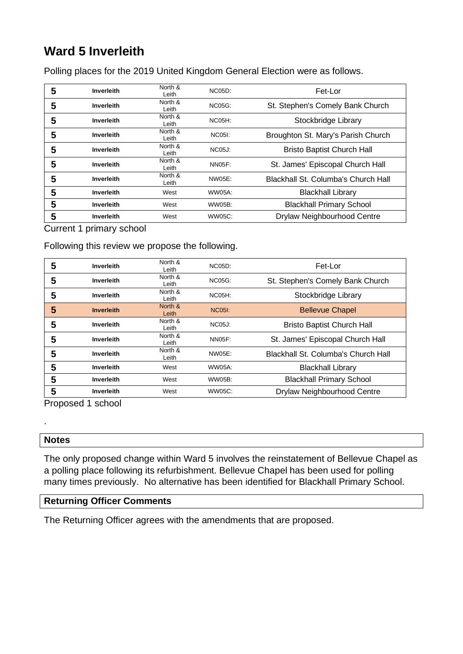# **Ward 5 Inverleith**

Polling places for the 2019 United Kingdom General Election were as follows.

| 5 | Inverleith        | North &<br>Leith | <b>NC05D:</b> | Fet-Lor                             |
|---|-------------------|------------------|---------------|-------------------------------------|
| 5 | Inverleith        | North &<br>Leith | <b>NC05G:</b> | St. Stephen's Comely Bank Church    |
| 5 | Inverleith        | North &<br>Leith | $NCO5H$ :     | Stockbridge Library                 |
| 5 | Inverleith        | North &<br>Leith | <b>NC05I:</b> | Broughton St. Mary's Parish Church  |
| 5 | Inverleith        | North &<br>Leith | <b>NC05J:</b> | <b>Bristo Baptist Church Hall</b>   |
| 5 | Inverleith        | North &<br>Leith | <b>NN05F:</b> | St. James' Episcopal Church Hall    |
| 5 | Inverleith        | North &<br>Leith | NW05E:        | Blackhall St. Columba's Church Hall |
| 5 | Inverleith        | West             | WW05A:        | <b>Blackhall Library</b>            |
| 5 | Inverleith        | West             | <b>WW05B:</b> | <b>Blackhall Primary School</b>     |
| 5 | <b>Inverleith</b> | West             | WW05C:        | Drylaw Neighbourhood Centre         |

Current 1 primary school

#### Following this review we propose the following.

| 5 | Inverleith        | North &<br>Leith | NCO5D:        | Fet-Lor                             |
|---|-------------------|------------------|---------------|-------------------------------------|
| 5 | Inverleith        | North &<br>Leith | <b>NC05G:</b> | St. Stephen's Comely Bank Church    |
| 5 | Inverleith        | North &<br>Leith | $NCO5H$ :     | Stockbridge Library                 |
| 5 | <b>Inverleith</b> | North &<br>Leith | <b>NC05I:</b> | <b>Bellevue Chapel</b>              |
| 5 | Inverleith        | North &<br>Leith | <b>NC05J:</b> | <b>Bristo Baptist Church Hall</b>   |
| 5 | Inverleith        | North &<br>Leith | <b>NN05F:</b> | St. James' Episcopal Church Hall    |
| 5 | <b>Inverleith</b> | North &<br>Leith | NW05E:        | Blackhall St. Columba's Church Hall |
| 5 | Inverleith        | West             | WW05A:        | <b>Blackhall Library</b>            |
| 5 | Inverleith        | West             | WW05B:        | <b>Blackhall Primary School</b>     |
| 5 | Inverleith        | West             | WW05C:        | Drylaw Neighbourhood Centre         |

Proposed 1 school

#### **Notes**

.

The only proposed change within Ward 5 involves the reinstatement of Bellevue Chapel as a polling place following its refurbishment. Bellevue Chapel has been used for polling many times previously. No alternative has been identified for Blackhall Primary School.

### **Returning Officer Comments**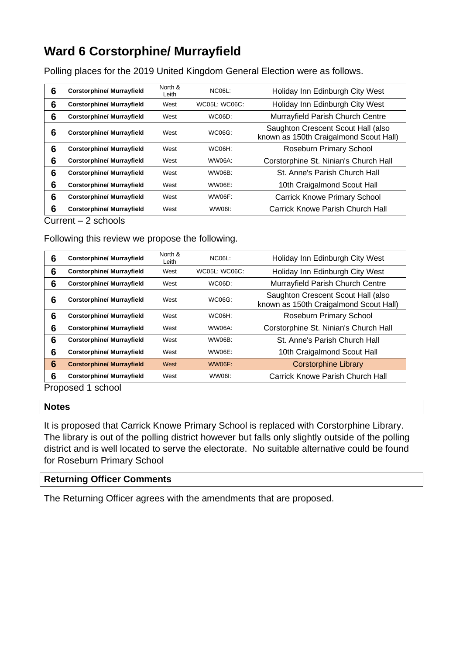### **Ward 6 Corstorphine/ Murrayfield**

Polling places for the 2019 United Kingdom General Election were as follows.

| 6 | <b>Corstorphine/ Murrayfield</b> | North &<br>Leith | $NC06L$ :     | Holiday Inn Edinburgh City West                                              |
|---|----------------------------------|------------------|---------------|------------------------------------------------------------------------------|
| 6 | <b>Corstorphine/ Murrayfield</b> | West             | WC05L: WC06C: | Holiday Inn Edinburgh City West                                              |
| 6 | <b>Corstorphine/ Murrayfield</b> | West             | WC06D:        | Murrayfield Parish Church Centre                                             |
| 6 | <b>Corstorphine/ Murrayfield</b> | West             | WC06G:        | Saughton Crescent Scout Hall (also<br>known as 150th Craigalmond Scout Hall) |
| 6 | <b>Corstorphine/ Murrayfield</b> | West             | <b>WC06H:</b> | Roseburn Primary School                                                      |
| 6 | <b>Corstorphine/ Murrayfield</b> | West             | WW06A:        | Corstorphine St. Ninian's Church Hall                                        |
| 6 | <b>Corstorphine/ Murrayfield</b> | West             | WW06B:        | St. Anne's Parish Church Hall                                                |
| 6 | <b>Corstorphine/ Murrayfield</b> | West             | WW06E:        | 10th Craigalmond Scout Hall                                                  |
| 6 | <b>Corstorphine/ Murrayfield</b> | West             | WW06F:        | <b>Carrick Knowe Primary School</b>                                          |
| 6 | <b>Corstorphine/ Murrayfield</b> | West             | WW06I:        | Carrick Knowe Parish Church Hall                                             |

#### Current – 2 schools

### Following this review we propose the following.

| 6 | <b>Corstorphine/ Murrayfield</b> | North &<br>Leith | $NC06L$ :            | Holiday Inn Edinburgh City West                                              |  |  |  |
|---|----------------------------------|------------------|----------------------|------------------------------------------------------------------------------|--|--|--|
| 6 | <b>Corstorphine/ Murrayfield</b> | West             | <b>WC05L: WC06C:</b> | Holiday Inn Edinburgh City West                                              |  |  |  |
| 6 | <b>Corstorphine/ Murrayfield</b> | West             | <b>WC06D:</b>        | Murrayfield Parish Church Centre                                             |  |  |  |
| 6 | <b>Corstorphine/ Murrayfield</b> | West             | WC06G:               | Saughton Crescent Scout Hall (also<br>known as 150th Craigalmond Scout Hall) |  |  |  |
| 6 | <b>Corstorphine/ Murrayfield</b> | West             | WC06H:               | Roseburn Primary School                                                      |  |  |  |
| 6 | <b>Corstorphine/ Murrayfield</b> | West             | WW06A:               | Corstorphine St. Ninian's Church Hall                                        |  |  |  |
| 6 | <b>Corstorphine/ Murrayfield</b> | West             | WW06B:               | St. Anne's Parish Church Hall                                                |  |  |  |
| 6 | <b>Corstorphine/ Murrayfield</b> | West             | WW06E:               | 10th Craigalmond Scout Hall                                                  |  |  |  |
| 6 | <b>Corstorphine/ Murrayfield</b> | West             | WW06F:               | <b>Corstorphine Library</b>                                                  |  |  |  |
| 6 | <b>Corstorphine/ Murrayfield</b> | West             | WW06I:               | Carrick Knowe Parish Church Hall                                             |  |  |  |
|   | Pronosad 1 school                |                  |                      |                                                                              |  |  |  |

Proposed 1 school

#### **Notes**

It is proposed that Carrick Knowe Primary School is replaced with Corstorphine Library. The library is out of the polling district however but falls only slightly outside of the polling district and is well located to serve the electorate. No suitable alternative could be found for Roseburn Primary School

### **Returning Officer Comments**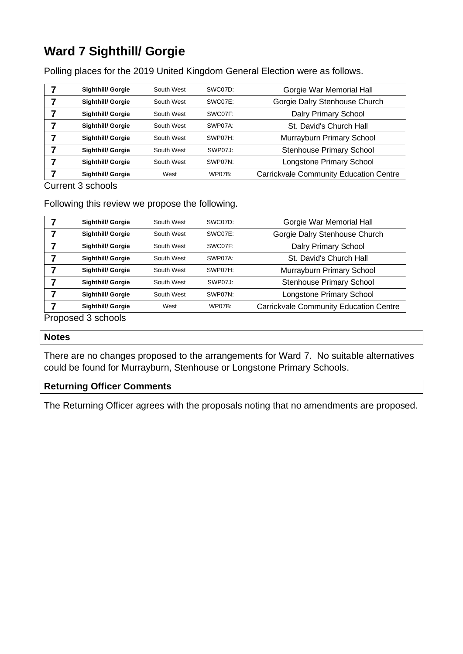# **Ward 7 Sighthill/ Gorgie**

Polling places for the 2019 United Kingdom General Election were as follows.

| <b>Sighthill/ Gorgie</b> | South West | SWC07D:       | Gorgie War Memorial Hall                      |
|--------------------------|------------|---------------|-----------------------------------------------|
| <b>Sighthill/ Gorgie</b> | South West | SWC07E:       | Gorgie Dalry Stenhouse Church                 |
| <b>Sighthill/ Gorgie</b> | South West | SWC07F:       | Dalry Primary School                          |
| <b>Sighthill/ Gorgie</b> | South West | SWP07A:       | St. David's Church Hall                       |
| <b>Sighthill/ Gorgie</b> | South West | SWP07H:       | Murrayburn Primary School                     |
| Sighthill/ Gorgie        | South West | SWP07J:       | <b>Stenhouse Primary School</b>               |
| <b>Sighthill/ Gorgie</b> | South West | SWP07N:       | Longstone Primary School                      |
| <b>Sighthill/ Gorgie</b> | West       | <b>WP07B:</b> | <b>Carrickvale Community Education Centre</b> |

Current 3 schools

Following this review we propose the following.

| <b>Sighthill/ Gorgie</b> | South West | SWC07D:       | Gorgie War Memorial Hall                      |
|--------------------------|------------|---------------|-----------------------------------------------|
| <b>Sighthill/ Gorgie</b> | South West | SWC07E:       | Gorgie Dalry Stenhouse Church                 |
| <b>Sighthill/ Gorgie</b> | South West | SWC07F:       | Dalry Primary School                          |
| <b>Sighthill/ Gorgie</b> | South West | SWP07A:       | St. David's Church Hall                       |
| <b>Sighthill/ Gorgie</b> | South West | SWP07H:       | Murrayburn Primary School                     |
| <b>Sighthill/ Gorgie</b> | South West | SWP07J:       | <b>Stenhouse Primary School</b>               |
| <b>Sighthill/ Gorgie</b> | South West | SWP07N:       | Longstone Primary School                      |
| <b>Sighthill/ Gorgie</b> | West       | <b>WP07B:</b> | <b>Carrickvale Community Education Centre</b> |

Proposed 3 schools

#### **Notes**

There are no changes proposed to the arrangements for Ward 7. No suitable alternatives could be found for Murrayburn, Stenhouse or Longstone Primary Schools.

### **Returning Officer Comments**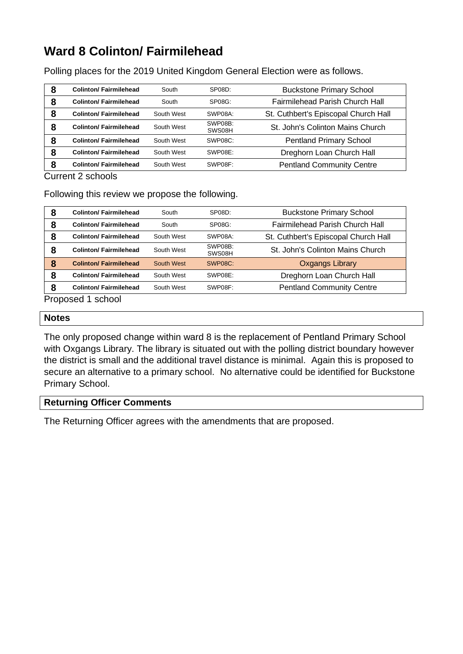### **Ward 8 Colinton/ Fairmilehead**

Polling places for the 2019 United Kingdom General Election were as follows.

| 8 | <b>Colinton/Fairmilehead</b>  | South      | SP08D:            | <b>Buckstone Primary School</b>      |
|---|-------------------------------|------------|-------------------|--------------------------------------|
| 8 | <b>Colinton/Fairmilehead</b>  | South      | SP08G:            | Fairmilehead Parish Church Hall      |
| 8 | <b>Colinton/Fairmilehead</b>  | South West | SWP08A:           | St. Cuthbert's Episcopal Church Hall |
| 8 | <b>Colinton/Fairmilehead</b>  | South West | SWP08B:<br>SWS08H | St. John's Colinton Mains Church     |
| 8 | <b>Colinton/ Fairmilehead</b> | South West | SWP08C:           | Pentland Primary School              |
| 8 | <b>Colinton/ Fairmilehead</b> | South West | SWP08E:           | Dreghorn Loan Church Hall            |
| 8 | <b>Colinton/Fairmilehead</b>  | South West | SWP08F:           | <b>Pentland Community Centre</b>     |

Current 2 schools

Following this review we propose the following.

| 8 | <b>Colinton/ Fairmilehead</b> | South      | SP08D:            | <b>Buckstone Primary School</b>      |
|---|-------------------------------|------------|-------------------|--------------------------------------|
| 8 | <b>Colinton/ Fairmilehead</b> | South      | $SP08G$ :         | Fairmilehead Parish Church Hall      |
| 8 | <b>Colinton/ Fairmilehead</b> | South West | SWP08A:           | St. Cuthbert's Episcopal Church Hall |
| 8 | <b>Colinton/Fairmilehead</b>  | South West | SWP08B:<br>SWS08H | St. John's Colinton Mains Church     |
| 8 | <b>Colinton/ Fairmilehead</b> | South West | SWP08C:           | <b>Oxgangs Library</b>               |
| 8 | <b>Colinton/ Fairmilehead</b> | South West | SWP08E:           | Dreghorn Loan Church Hall            |
| 8 | <b>Colinton/ Fairmilehead</b> | South West | SWP08F:           | <b>Pentland Community Centre</b>     |
| ∽ | .                             |            |                   |                                      |

Proposed 1 school

#### **Notes**

The only proposed change within ward 8 is the replacement of Pentland Primary School with Oxgangs Library. The library is situated out with the polling district boundary however the district is small and the additional travel distance is minimal. Again this is proposed to secure an alternative to a primary school. No alternative could be identified for Buckstone Primary School.

### **Returning Officer Comments**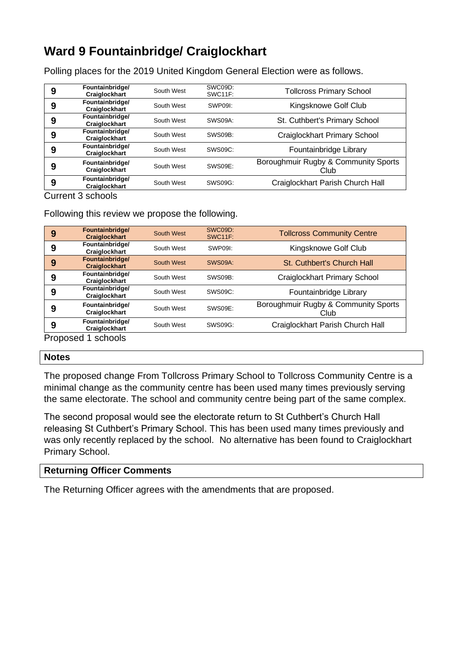### **Ward 9 Fountainbridge/ Craiglockhart**

Polling places for the 2019 United Kingdom General Election were as follows.

| 9 | Fountainbridge/<br><b>Craiglockhart</b> | South West | SWC09D:<br>SWC11F: | <b>Tollcross Primary School</b>              |
|---|-----------------------------------------|------------|--------------------|----------------------------------------------|
| 9 | Fountainbridge/<br><b>Craiglockhart</b> | South West | SWP09I:            | Kingsknowe Golf Club                         |
| 9 | Fountainbridge/<br>Craiglockhart        | South West | SWS09A:            | St. Cuthbert's Primary School                |
| 9 | Fountainbridge/<br>Craiglockhart        | South West | SWS09B:            | Craiglockhart Primary School                 |
| 9 | Fountainbridge/<br>Craiglockhart        | South West | SWS09C:            | Fountainbridge Library                       |
| 9 | Fountainbridge/<br>Craiglockhart        | South West | SWS09E:            | Boroughmuir Rugby & Community Sports<br>Club |
| 9 | Fountainbridge/<br><b>Craiglockhart</b> | South West | SWS09G:            | Craiglockhart Parish Church Hall             |

Current 3 schools

Following this review we propose the following.

| 9 | Fountainbridge/<br><b>Craiglockhart</b> | South West | SWC09D:<br><b>SWC11F:</b> | <b>Tollcross Community Centre</b>            |
|---|-----------------------------------------|------------|---------------------------|----------------------------------------------|
| 9 | Fountainbridge/<br>Craiglockhart        | South West | SWP09I:                   | Kingsknowe Golf Club                         |
| 9 | Fountainbridge/<br><b>Craiglockhart</b> | South West | SWS09A:                   | St. Cuthbert's Church Hall                   |
| 9 | Fountainbridge/<br>Craiglockhart        | South West | SWS09B:                   | Craiglockhart Primary School                 |
| 9 | Fountainbridge/<br>Craiglockhart        | South West | SWS09C:                   | Fountainbridge Library                       |
| 9 | Fountainbridge/<br>Craiglockhart        | South West | SWS09E:                   | Boroughmuir Rugby & Community Sports<br>Club |
| 9 | Fountainbridge/<br>Craiglockhart        | South West | SWS09G:                   | Craiglockhart Parish Church Hall             |
|   | Proposed 1 schools                      |            |                           |                                              |

#### **Notes**

The proposed change From Tollcross Primary School to Tollcross Community Centre is a minimal change as the community centre has been used many times previously serving the same electorate. The school and community centre being part of the same complex.

The second proposal would see the electorate return to St Cuthbert's Church Hall releasing St Cuthbert's Primary School. This has been used many times previously and was only recently replaced by the school. No alternative has been found to Craiglockhart Primary School.

### **Returning Officer Comments**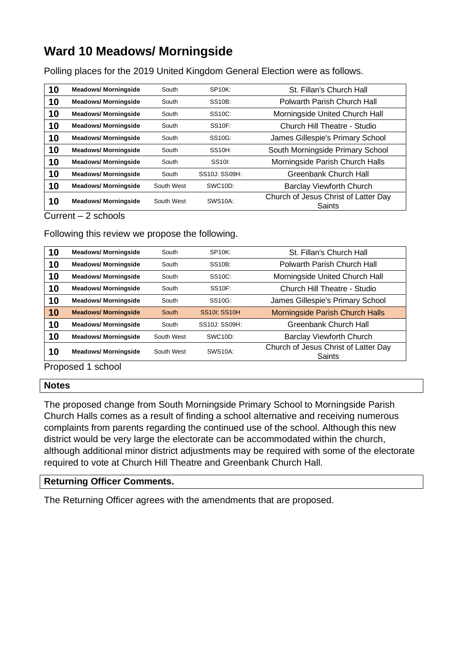### **Ward 10 Meadows/ Morningside**

Polling places for the 2019 United Kingdom General Election were as follows.

| 10 | <b>Meadows/ Morningside</b> | South      | <b>SP10K:</b>       | St. Fillan's Church Hall                       |
|----|-----------------------------|------------|---------------------|------------------------------------------------|
| 10 | <b>Meadows/ Morningside</b> | South      | <b>SS10B:</b>       | Polwarth Parish Church Hall                    |
| 10 | <b>Meadows/ Morningside</b> | South      | SS <sub>10</sub> C: | Morningside United Church Hall                 |
| 10 | <b>Meadows/ Morningside</b> | South      | <b>SS10F:</b>       | Church Hill Theatre - Studio                   |
| 10 | <b>Meadows/ Morningside</b> | South      | SS <sub>10G</sub> : | James Gillespie's Primary School               |
| 10 | <b>Meadows/ Morningside</b> | South      | <b>SS10H:</b>       | South Morningside Primary School               |
| 10 | <b>Meadows/ Morningside</b> | South      | SS <sub>10</sub> :  | Morningside Parish Church Halls                |
| 10 | <b>Meadows/ Morningside</b> | South      | SS10J: SS09H:       | Greenbank Church Hall                          |
| 10 | <b>Meadows/ Morningside</b> | South West | SWC10D:             | <b>Barclay Viewforth Church</b>                |
| 10 | <b>Meadows/ Morningside</b> | South West | <b>SWS10A:</b>      | Church of Jesus Christ of Latter Day<br>Saints |

Current – 2 schools

Following this review we propose the following.

| 10 | <b>Meadows/ Morningside</b> | South      | $SP10K$ :           | St. Fillan's Church Hall                       |
|----|-----------------------------|------------|---------------------|------------------------------------------------|
| 10 | <b>Meadows/ Morningside</b> | South      | <b>SS10B:</b>       | Polwarth Parish Church Hall                    |
| 10 | <b>Meadows/ Morningside</b> | South      | SS <sub>10</sub> C: | Morningside United Church Hall                 |
| 10 | <b>Meadows/ Morningside</b> | South      | <b>SS10F:</b>       | Church Hill Theatre - Studio                   |
| 10 | <b>Meadows/ Morningside</b> | South      | SS10G:              | James Gillespie's Primary School               |
| 10 | <b>Meadows/ Morningside</b> | South      | <b>SS10I: SS10H</b> | Morningside Parish Church Halls                |
| 10 | <b>Meadows/ Morningside</b> | South      | SS10J: SS09H:       | Greenbank Church Hall                          |
| 10 | <b>Meadows/ Morningside</b> | South West | SWC10D:             | <b>Barclay Viewforth Church</b>                |
| 10 | <b>Meadows/ Morningside</b> | South West | <b>SWS10A:</b>      | Church of Jesus Christ of Latter Day<br>Saints |

Proposed 1 school

### **Notes**

The proposed change from South Morningside Primary School to Morningside Parish Church Halls comes as a result of finding a school alternative and receiving numerous complaints from parents regarding the continued use of the school. Although this new district would be very large the electorate can be accommodated within the church, although additional minor district adjustments may be required with some of the electorate required to vote at Church Hill Theatre and Greenbank Church Hall.

### **Returning Officer Comments.**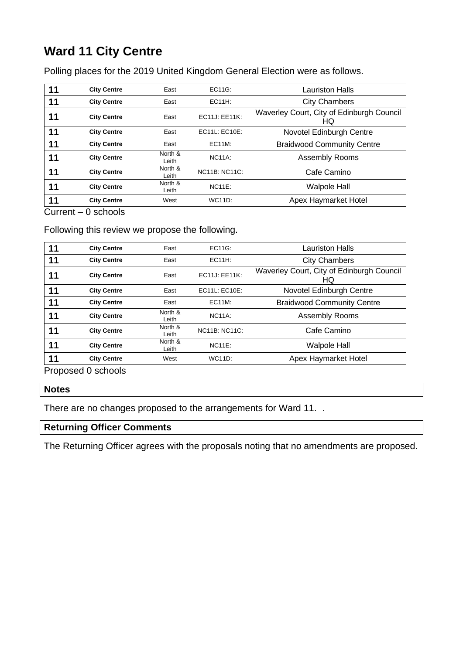# **Ward 11 City Centre**

Polling places for the 2019 United Kingdom General Election were as follows.

| 11 | <b>City Centre</b> | East             | EC11G:               | Lauriston Halls                                 |
|----|--------------------|------------------|----------------------|-------------------------------------------------|
| 11 | <b>City Centre</b> | East             | <b>EC11H:</b>        | <b>City Chambers</b>                            |
| 11 | <b>City Centre</b> | East             | EC11J: EE11K:        | Waverley Court, City of Edinburgh Council<br>HQ |
| 11 | <b>City Centre</b> | East             | EC11L: EC10E:        | Novotel Edinburgh Centre                        |
| 11 | <b>City Centre</b> | East             | <b>EC11M:</b>        | <b>Braidwood Community Centre</b>               |
| 11 | <b>City Centre</b> | North &<br>Leith | <b>NC11A:</b>        | Assembly Rooms                                  |
| 11 | <b>City Centre</b> | North &<br>Leith | <b>NC11B: NC11C:</b> | Cafe Camino                                     |
| 11 | <b>City Centre</b> | North &<br>Leith | $NC11E$ :            | <b>Walpole Hall</b>                             |
| 11 | <b>City Centre</b> | West             | <b>WC11D:</b>        | Apex Haymarket Hotel                            |

Current – 0 schools

### Following this review we propose the following.

| 11 | <b>City Centre</b> | East             | EC11G:               | Lauriston Halls                                 |
|----|--------------------|------------------|----------------------|-------------------------------------------------|
| 11 | <b>City Centre</b> | East             | <b>EC11H:</b>        | <b>City Chambers</b>                            |
| 11 | <b>City Centre</b> | East             | EC11J: EE11K:        | Waverley Court, City of Edinburgh Council<br>HQ |
| 11 | <b>City Centre</b> | East             | EC11L: EC10E:        | Novotel Edinburgh Centre                        |
| 11 | <b>City Centre</b> | East             | <b>EC11M:</b>        | <b>Braidwood Community Centre</b>               |
| 11 | <b>City Centre</b> | North &<br>Leith | <b>NC11A:</b>        | Assembly Rooms                                  |
| 11 | <b>City Centre</b> | North &<br>Leith | <b>NC11B: NC11C:</b> | Cafe Camino                                     |
| 11 | <b>City Centre</b> | North &<br>Leith | $NC11E$ :            | <b>Walpole Hall</b>                             |
| 11 | <b>City Centre</b> | West             | <b>WC11D:</b>        | Apex Haymarket Hotel                            |

Proposed 0 schools

#### **Notes**

There are no changes proposed to the arrangements for Ward 11. .

### **Returning Officer Comments**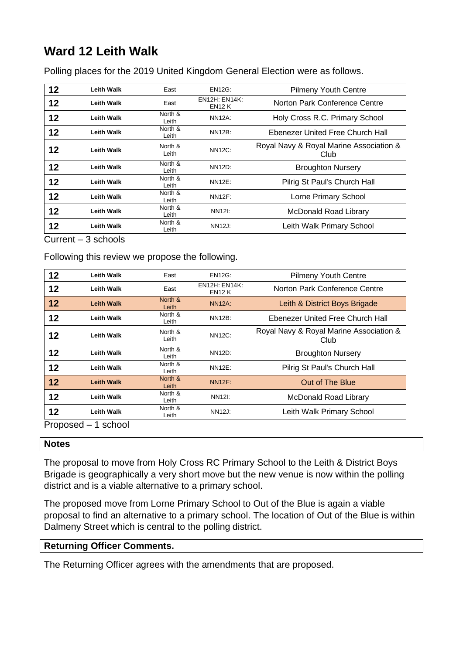# **Ward 12 Leith Walk**

Polling places for the 2019 United Kingdom General Election were as follows.

| 12 | <b>Leith Walk</b> | East             | <b>EN12G:</b>                         | <b>Pilmeny Youth Centre</b>                     |
|----|-------------------|------------------|---------------------------------------|-------------------------------------------------|
| 12 | <b>Leith Walk</b> | East             | <b>EN12H: EN14K:</b><br><b>EN12 K</b> | Norton Park Conference Centre                   |
| 12 | <b>Leith Walk</b> | North &<br>Leith | <b>NN12A:</b>                         | Holy Cross R.C. Primary School                  |
| 12 | <b>Leith Walk</b> | North &<br>Leith | <b>NN12B:</b>                         | Ebenezer United Free Church Hall                |
| 12 | <b>Leith Walk</b> | North &<br>Leith | <b>NN12C:</b>                         | Royal Navy & Royal Marine Association &<br>Club |
| 12 | <b>Leith Walk</b> | North &<br>Leith | NN12D:                                | <b>Broughton Nursery</b>                        |
| 12 | <b>Leith Walk</b> | North &<br>Leith | <b>NN12E:</b>                         | Pilrig St Paul's Church Hall                    |
| 12 | <b>Leith Walk</b> | North &<br>Leith | <b>NN12F:</b>                         | Lorne Primary School                            |
| 12 | <b>Leith Walk</b> | North &<br>Leith | NN12I:                                | McDonald Road Library                           |
| 12 | <b>Leith Walk</b> | North &<br>Leith | <b>NN12J:</b>                         | Leith Walk Primary School                       |

Current – 3 schools

Following this review we propose the following.

| 12 | <b>Leith Walk</b> | East             | <b>EN12G:</b>                         | <b>Pilmeny Youth Centre</b>                     |
|----|-------------------|------------------|---------------------------------------|-------------------------------------------------|
| 12 | Leith Walk        | East             | <b>EN12H: EN14K:</b><br><b>EN12 K</b> | Norton Park Conference Centre                   |
| 12 | <b>Leith Walk</b> | North &<br>Leith | <b>NN12A:</b>                         | Leith & District Boys Brigade                   |
| 12 | <b>Leith Walk</b> | North &<br>Leith | <b>NN12B:</b>                         | Ebenezer United Free Church Hall                |
| 12 | Leith Walk        | North &<br>Leith | <b>NN12C:</b>                         | Royal Navy & Royal Marine Association &<br>Club |
| 12 | <b>Leith Walk</b> | North &<br>Leith | NN12D:                                | <b>Broughton Nursery</b>                        |
| 12 | <b>Leith Walk</b> | North &<br>Leith | NN12E:                                | Pilrig St Paul's Church Hall                    |
| 12 | <b>Leith Walk</b> | North &<br>Leith | <b>NN12F:</b>                         | Out of The Blue                                 |
| 12 | <b>Leith Walk</b> | North &<br>Leith | NN12I:                                | <b>McDonald Road Library</b>                    |
| 12 | <b>Leith Walk</b> | North &<br>Leith | <b>NN12J:</b>                         | Leith Walk Primary School                       |

Proposed – 1 school

### **Notes**

The proposal to move from Holy Cross RC Primary School to the Leith & District Boys Brigade is geographically a very short move but the new venue is now within the polling district and is a viable alternative to a primary school.

The proposed move from Lorne Primary School to Out of the Blue is again a viable proposal to find an alternative to a primary school. The location of Out of the Blue is within Dalmeny Street which is central to the polling district.

### **Returning Officer Comments.**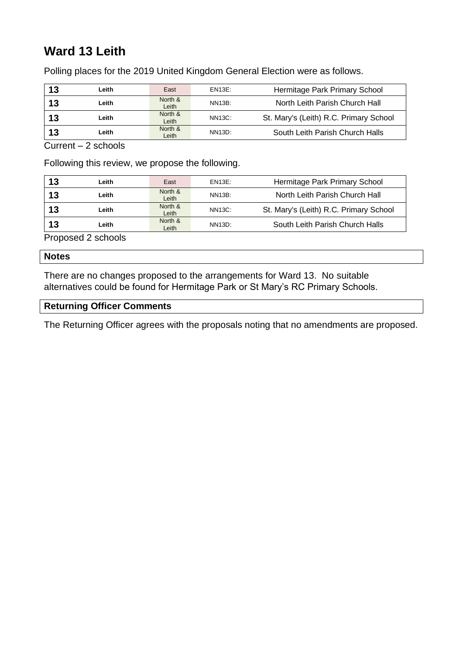# **Ward 13 Leith**

Polling places for the 2019 United Kingdom General Election were as follows.

| 13 | Leith | East             | EN13E:        | Hermitage Park Primary School          |
|----|-------|------------------|---------------|----------------------------------------|
| 13 | Leith | North &<br>Leith | <b>NN13B:</b> | North Leith Parish Church Hall         |
| 13 | Leith | North &<br>Leith | <b>NN13C:</b> | St. Mary's (Leith) R.C. Primary School |
| 13 | Leith | North &<br>Leith | NN13D:        | South Leith Parish Church Halls        |

Current – 2 schools

Following this review, we propose the following.

| 13 | Leith | East             | <b>EN13E:</b> | Hermitage Park Primary School          |
|----|-------|------------------|---------------|----------------------------------------|
| 13 | Leith | North &<br>Leith | <b>NN13B:</b> | North Leith Parish Church Hall         |
| 13 | Leith | North &<br>Leith | <b>NN13C:</b> | St. Mary's (Leith) R.C. Primary School |
| 13 | Leith | North &<br>Leith | NN13D:        | South Leith Parish Church Halls        |

Proposed 2 schools

#### **Notes**

There are no changes proposed to the arrangements for Ward 13. No suitable alternatives could be found for Hermitage Park or St Mary's RC Primary Schools.

### **Returning Officer Comments**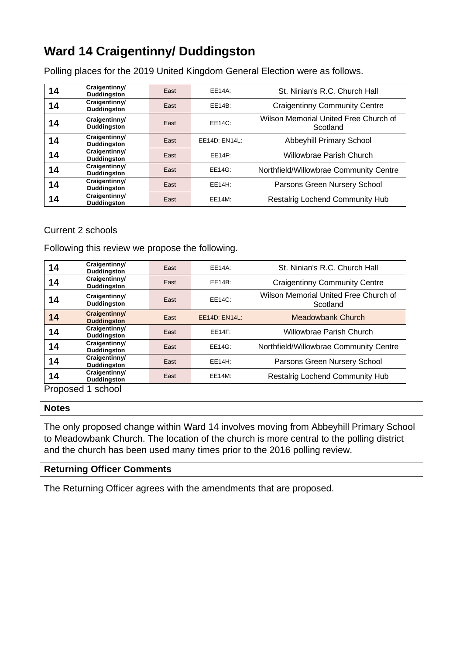# **Ward 14 Craigentinny/ Duddingston**

Polling places for the 2019 United Kingdom General Election were as follows.

| 14 | Craigentinny/<br><b>Duddingston</b> | East | EE14A:        | St. Ninian's R.C. Church Hall                     |
|----|-------------------------------------|------|---------------|---------------------------------------------------|
| 14 | Craigentinny/<br><b>Duddingston</b> | East | EE14B:        | <b>Craigentinny Community Centre</b>              |
| 14 | Craigentinny/<br>Duddingston        | East | EE14C:        | Wilson Memorial United Free Church of<br>Scotland |
| 14 | Craigentinny/<br><b>Duddingston</b> | East | EE14D: EN14L: | Abbeyhill Primary School                          |
| 14 | Craigentinny/<br><b>Duddingston</b> | East | EE14F:        | Willowbrae Parish Church                          |
| 14 | Craigentinny/<br><b>Duddingston</b> | East | EE14G:        | Northfield/Willowbrae Community Centre            |
| 14 | Craigentinny/<br><b>Duddingston</b> | East | EE14H:        | Parsons Green Nursery School                      |
| 14 | Craigentinny/<br><b>Duddingston</b> | East | EE14M:        | Restalrig Lochend Community Hub                   |

### Current 2 schools

Following this review we propose the following.

| 14         | Craigentinny/<br>Duddingston        | East | EE14A:        | St. Ninian's R.C. Church Hall                     |
|------------|-------------------------------------|------|---------------|---------------------------------------------------|
| 14         | Craigentinny/<br><b>Duddingston</b> | East | EE14B:        | <b>Craigentinny Community Centre</b>              |
| 14         | Craigentinny/<br>Duddingston        | East | <b>EE14C:</b> | Wilson Memorial United Free Church of<br>Scotland |
| 14         | Craigentinny/<br><b>Duddingston</b> | East | EE14D: EN14L: | Meadowbank Church                                 |
| 14         | Craigentinny/<br><b>Duddingston</b> | East | EE14F:        | Willowbrae Parish Church                          |
| 14         | Craigentinny/<br><b>Duddingston</b> | East | EE14G:        | Northfield/Willowbrae Community Centre            |
| 14         | Craigentinny/<br><b>Duddingston</b> | East | EE14H:        | Parsons Green Nursery School                      |
| 14         | Craigentinny/<br><b>Duddingston</b> | East | EE14M:        | <b>Restalrig Lochend Community Hub</b>            |
| Proposed 1 | school                              |      |               |                                                   |

#### **Notes**

The only proposed change within Ward 14 involves moving from Abbeyhill Primary School to Meadowbank Church. The location of the church is more central to the polling district and the church has been used many times prior to the 2016 polling review.

### **Returning Officer Comments**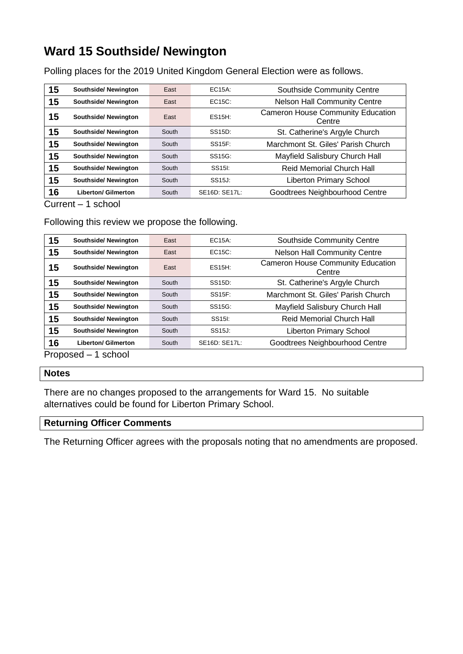## **Ward 15 Southside/ Newington**

Polling places for the 2019 United Kingdom General Election were as follows.

| 15 | Southside/Newington         | East  | $EC15A$ :           | Southside Community Centre                         |
|----|-----------------------------|-------|---------------------|----------------------------------------------------|
| 15 | <b>Southside/ Newington</b> | East  | $EC15C$ :           | <b>Nelson Hall Community Centre</b>                |
| 15 | <b>Southside/ Newington</b> | East  | ES15H:              | <b>Cameron House Community Education</b><br>Centre |
| 15 | <b>Southside/ Newington</b> | South | SS <sub>15</sub> D: | St. Catherine's Argyle Church                      |
| 15 | Southside/Newington         | South | <b>SS15F:</b>       | Marchmont St. Giles' Parish Church                 |
| 15 | Southside/Newington         | South | SS <sub>15G</sub> : | Mayfield Salisbury Church Hall                     |
| 15 | <b>Southside/ Newington</b> | South | SS <sub>15</sub> :  | <b>Reid Memorial Church Hall</b>                   |
| 15 | <b>Southside/ Newington</b> | South | SS <sub>15</sub> J: | <b>Liberton Primary School</b>                     |
| 16 | <b>Liberton/ Gilmerton</b>  | South | SE16D: SE17L:       | Goodtrees Neighbourhood Centre                     |

Current – 1 school

### Following this review we propose the following.

| 15 | <b>Southside/ Newington</b> | East  | EC15A:              | Southside Community Centre                         |
|----|-----------------------------|-------|---------------------|----------------------------------------------------|
| 15 | <b>Southside/ Newington</b> | East  | $EC15C$ :           | <b>Nelson Hall Community Centre</b>                |
| 15 | Southside/Newington         | East  | <b>ES15H:</b>       | <b>Cameron House Community Education</b><br>Centre |
| 15 | <b>Southside/ Newington</b> | South | SS15D:              | St. Catherine's Argyle Church                      |
| 15 | <b>Southside/ Newington</b> | South | SS15F:              | Marchmont St. Giles' Parish Church                 |
| 15 | <b>Southside/ Newington</b> | South | SS15G:              | Mayfield Salisbury Church Hall                     |
| 15 | <b>Southside/ Newington</b> | South | SS <sub>15</sub> :  | Reid Memorial Church Hall                          |
| 15 | Southside/Newington         | South | SS <sub>15J</sub> : | <b>Liberton Primary School</b>                     |
| 16 | <b>Liberton/ Gilmerton</b>  | South | SE16D: SE17L:       | Goodtrees Neighbourhood Centre                     |
| —  | .                           |       |                     |                                                    |

Proposed – 1 school

### **Notes**

There are no changes proposed to the arrangements for Ward 15. No suitable alternatives could be found for Liberton Primary School.

### **Returning Officer Comments**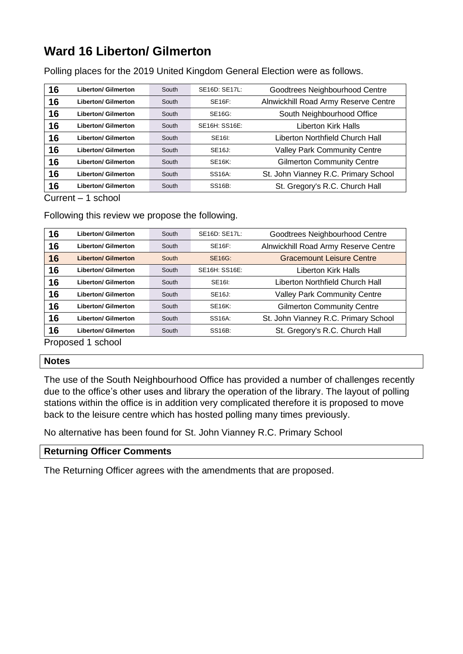### **Ward 16 Liberton/ Gilmerton**

Polling places for the 2019 United Kingdom General Election were as follows.

| 16 | <b>Liberton/ Gilmerton</b> | South | SE16D: SE17L:       | Goodtrees Neighbourhood Centre       |
|----|----------------------------|-------|---------------------|--------------------------------------|
| 16 | <b>Liberton/ Gilmerton</b> | South | <b>SE16F:</b>       | Alnwickhill Road Army Reserve Centre |
| 16 | <b>Liberton/ Gilmerton</b> | South | SE16G:              | South Neighbourhood Office           |
| 16 | <b>Liberton/ Gilmerton</b> | South | SE16H: SS16E:       | Liberton Kirk Halls                  |
| 16 | <b>Liberton/ Gilmerton</b> | South | SE16I:              | Liberton Northfield Church Hall      |
| 16 | <b>Liberton/ Gilmerton</b> | South | SE16J:              | <b>Valley Park Community Centre</b>  |
| 16 | <b>Liberton/ Gilmerton</b> | South | <b>SE16K:</b>       | <b>Gilmerton Community Centre</b>    |
| 16 | <b>Liberton/ Gilmerton</b> | South | SS <sub>16A</sub> : | St. John Vianney R.C. Primary School |
| 16 | <b>Liberton/ Gilmerton</b> | South | <b>SS16B:</b>       | St. Gregory's R.C. Church Hall       |

Current – 1 school

Following this review we propose the following.

| 16 | <b>Liberton/ Gilmerton</b> | South | SE16D: SE17L: | Goodtrees Neighbourhood Centre       |
|----|----------------------------|-------|---------------|--------------------------------------|
| 16 | <b>Liberton/ Gilmerton</b> | South | <b>SE16F:</b> | Alnwickhill Road Army Reserve Centre |
| 16 | <b>Liberton/ Gilmerton</b> | South | <b>SE16G:</b> | <b>Gracemount Leisure Centre</b>     |
| 16 | <b>Liberton/ Gilmerton</b> | South | SE16H: SS16E: | Liberton Kirk Halls                  |
| 16 | <b>Liberton/ Gilmerton</b> | South | SE16I:        | Liberton Northfield Church Hall      |
| 16 | <b>Liberton/ Gilmerton</b> | South | SE16J:        | <b>Valley Park Community Centre</b>  |
| 16 | <b>Liberton/ Gilmerton</b> | South | <b>SE16K:</b> | <b>Gilmerton Community Centre</b>    |
| 16 | <b>Liberton/ Gilmerton</b> | South | SS16A:        | St. John Vianney R.C. Primary School |
| 16 | <b>Liberton/ Gilmerton</b> | South | <b>SS16B:</b> | St. Gregory's R.C. Church Hall       |

Proposed 1 school

### **Notes**

The use of the South Neighbourhood Office has provided a number of challenges recently due to the office's other uses and library the operation of the library. The layout of polling stations within the office is in addition very complicated therefore it is proposed to move back to the leisure centre which has hosted polling many times previously.

No alternative has been found for St. John Vianney R.C. Primary School

### **Returning Officer Comments**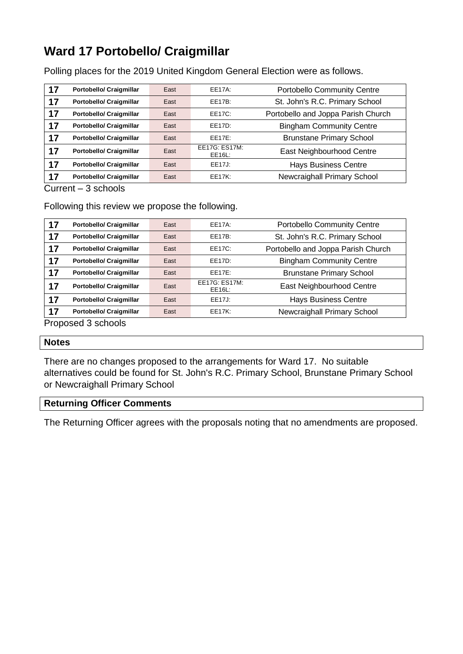### **Ward 17 Portobello/ Craigmillar**

Polling places for the 2019 United Kingdom General Election were as follows.

| 17 | <b>Portobello/ Craigmillar</b> | East | EE17A:                  | Portobello Community Centre        |
|----|--------------------------------|------|-------------------------|------------------------------------|
| 17 | <b>Portobello/ Craigmillar</b> | East | EE17B:                  | St. John's R.C. Primary School     |
| 17 | <b>Portobello/ Craigmillar</b> | East | EE17C:                  | Portobello and Joppa Parish Church |
| 17 | <b>Portobello/ Craigmillar</b> | East | EE17D:                  | <b>Bingham Community Centre</b>    |
| 17 | <b>Portobello/ Craigmillar</b> | East | FF17F:                  | <b>Brunstane Primary School</b>    |
| 17 | <b>Portobello/ Craigmillar</b> | East | EE17G: ES17M:<br>EE16L: | East Neighbourhood Centre          |
| 17 | <b>Portobello/ Craigmillar</b> | East | EE17J:                  | <b>Hays Business Centre</b>        |
| 17 | <b>Portobello/ Craigmillar</b> | East | EE17K:                  | Newcraighall Primary School        |

Current – 3 schools

Following this review we propose the following.

| 17 | <b>Portobello/ Craigmillar</b> | East | <b>EE17A:</b>           | Portobello Community Centre        |
|----|--------------------------------|------|-------------------------|------------------------------------|
| 17 | <b>Portobello/ Craigmillar</b> | East | EE17B:                  | St. John's R.C. Primary School     |
| 17 | <b>Portobello/ Craigmillar</b> | East | EE17C:                  | Portobello and Joppa Parish Church |
| 17 | <b>Portobello/ Craigmillar</b> | East | EE17D:                  | <b>Bingham Community Centre</b>    |
| 17 | <b>Portobello/ Craigmillar</b> | East | EE17E:                  | <b>Brunstane Primary School</b>    |
| 17 | <b>Portobello/ Craigmillar</b> | East | EE17G: ES17M:<br>EE16L: | East Neighbourhood Centre          |
| 17 | <b>Portobello/ Craigmillar</b> | East | EE17J:                  | <b>Hays Business Centre</b>        |
| 17 | <b>Portobello/ Craigmillar</b> | East | <b>EE17K:</b>           | Newcraighall Primary School        |
|    | Pronoced 3 schools             |      |                         |                                    |

Proposed 3 schools

#### **Notes**

There are no changes proposed to the arrangements for Ward 17. No suitable alternatives could be found for St. John's R.C. Primary School, Brunstane Primary School or Newcraighall Primary School

### **Returning Officer Comments**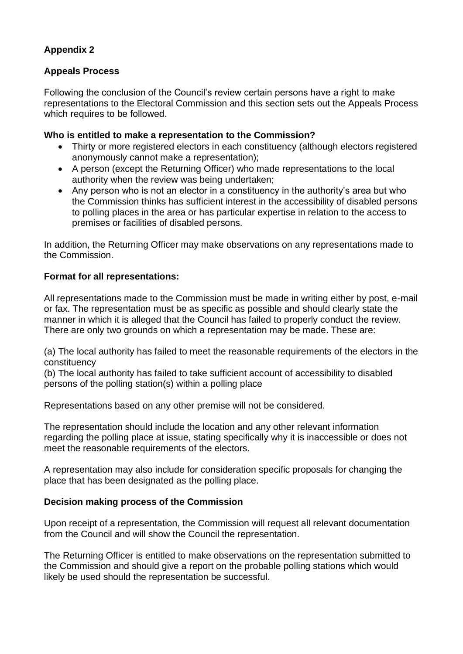### **Appendix 2**

### **Appeals Process**

Following the conclusion of the Council's review certain persons have a right to make representations to the Electoral Commission and this section sets out the Appeals Process which requires to be followed.

### **Who is entitled to make a representation to the Commission?**

- Thirty or more registered electors in each constituency (although electors registered anonymously cannot make a representation);
- A person (except the Returning Officer) who made representations to the local authority when the review was being undertaken;
- Any person who is not an elector in a constituency in the authority's area but who the Commission thinks has sufficient interest in the accessibility of disabled persons to polling places in the area or has particular expertise in relation to the access to premises or facilities of disabled persons.

In addition, the Returning Officer may make observations on any representations made to the Commission.

### **Format for all representations:**

All representations made to the Commission must be made in writing either by post, e-mail or fax. The representation must be as specific as possible and should clearly state the manner in which it is alleged that the Council has failed to properly conduct the review. There are only two grounds on which a representation may be made. These are:

(a) The local authority has failed to meet the reasonable requirements of the electors in the constituency

(b) The local authority has failed to take sufficient account of accessibility to disabled persons of the polling station(s) within a polling place

Representations based on any other premise will not be considered.

The representation should include the location and any other relevant information regarding the polling place at issue, stating specifically why it is inaccessible or does not meet the reasonable requirements of the electors.

A representation may also include for consideration specific proposals for changing the place that has been designated as the polling place.

### **Decision making process of the Commission**

Upon receipt of a representation, the Commission will request all relevant documentation from the Council and will show the Council the representation.

The Returning Officer is entitled to make observations on the representation submitted to the Commission and should give a report on the probable polling stations which would likely be used should the representation be successful.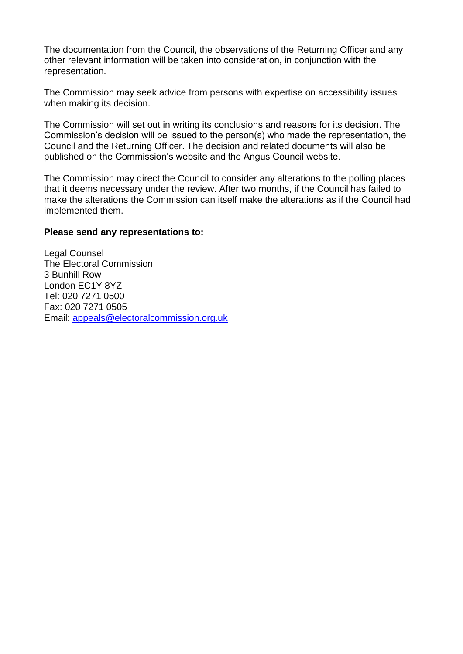The documentation from the Council, the observations of the Returning Officer and any other relevant information will be taken into consideration, in conjunction with the representation.

The Commission may seek advice from persons with expertise on accessibility issues when making its decision.

The Commission will set out in writing its conclusions and reasons for its decision. The Commission's decision will be issued to the person(s) who made the representation, the Council and the Returning Officer. The decision and related documents will also be published on the Commission's website and the Angus Council website.

The Commission may direct the Council to consider any alterations to the polling places that it deems necessary under the review. After two months, if the Council has failed to make the alterations the Commission can itself make the alterations as if the Council had implemented them.

#### **Please send any representations to:**

Legal Counsel The Electoral Commission 3 Bunhill Row London EC1Y 8YZ Tel: 020 7271 0500 Fax: 020 7271 0505 Email: [appeals@electoralcommission.org.uk](mailto:appeals@electoralcommission.org.uk)